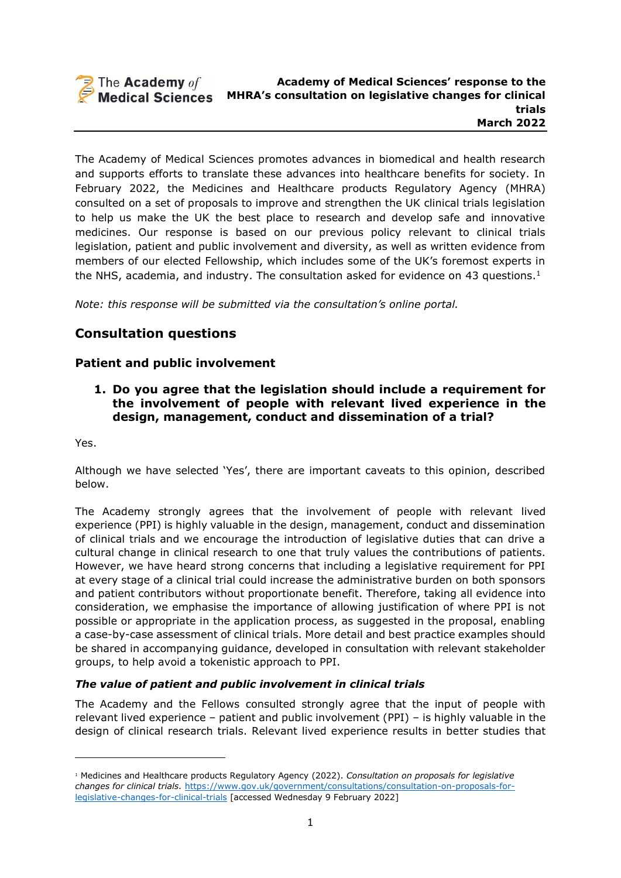

The Academy of Medical Sciences promotes advances in biomedical and health research and supports efforts to translate these advances into healthcare benefits for society. In February 2022, the Medicines and Healthcare products Regulatory Agency (MHRA) consulted on a set of proposals to improve and strengthen the UK clinical trials legislation to help us make the UK the best place to research and develop safe and innovative medicines. Our response is based on our previous policy relevant to clinical trials legislation, patient and public involvement and diversity, as well as written evidence from members of our elected Fellowship, which includes some of the UK's foremost experts in the NHS, academia, and industry. The consultation asked for evidence on 43 questions. $1$ 

*Note: this response will be submitted via the consultation's online portal.*

# **Consultation questions**

### **Patient and public involvement**

<span id="page-0-0"></span>**1. Do you agree that the legislation should include a requirement for the involvement of people with relevant lived experience in the design, management, conduct and dissemination of a trial?**

Yes.

Although we have selected 'Yes', there are important caveats to this opinion, described below.

The Academy strongly agrees that the involvement of people with relevant lived experience (PPI) is highly valuable in the design, management, conduct and dissemination of clinical trials and we encourage the introduction of legislative duties that can drive a cultural change in clinical research to one that truly values the contributions of patients. However, we have heard strong concerns that including a legislative requirement for PPI at every stage of a clinical trial could increase the administrative burden on both sponsors and patient contributors without proportionate benefit. Therefore, taking all evidence into consideration, we emphasise the importance of allowing justification of where PPI is not possible or appropriate in the application process, as suggested in the proposal, enabling a case-by-case assessment of clinical trials. More detail and best practice examples should be shared in accompanying guidance, developed in consultation with relevant stakeholder groups, to help avoid a tokenistic approach to PPI.

#### *The value of patient and public involvement in clinical trials*

The Academy and the Fellows consulted strongly agree that the input of people with relevant lived experience – patient and public involvement (PPI) – is highly valuable in the design of clinical research trials. Relevant lived experience results in better studies that

<sup>1</sup> Medicines and Healthcare products Regulatory Agency (2022). *Consultation on proposals for legislative changes for clinical trials.* [https://www.gov.uk/government/consultations/consultation-on-proposals-for](https://www.gov.uk/government/consultations/consultation-on-proposals-for-legislative-changes-for-clinical-trials)[legislative-changes-for-clinical-trials](https://www.gov.uk/government/consultations/consultation-on-proposals-for-legislative-changes-for-clinical-trials) [accessed Wednesday 9 February 2022]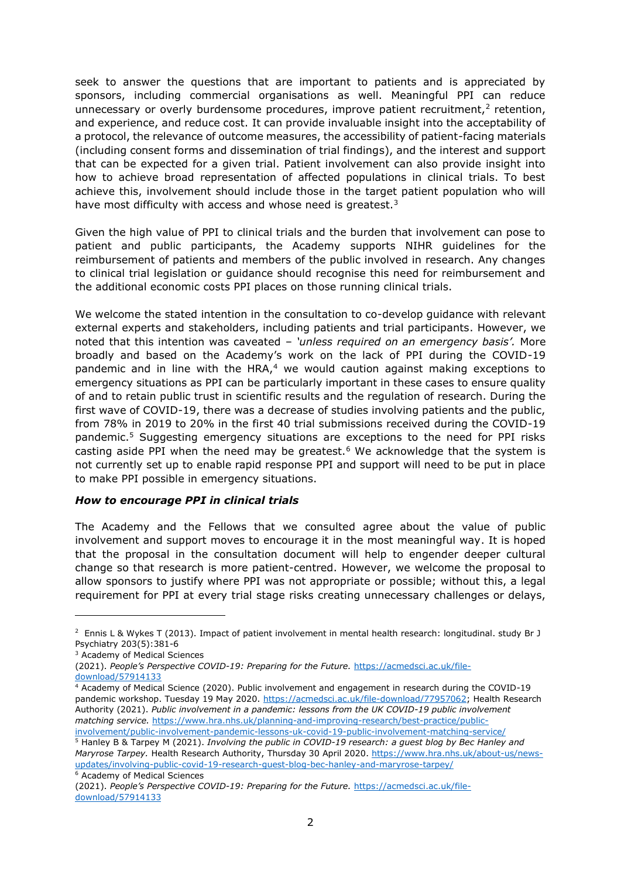seek to answer the questions that are important to patients and is appreciated by sponsors, including commercial organisations as well. Meaningful PPI can reduce unnecessary or overly burdensome procedures, improve patient recruitment, $<sup>2</sup>$  retention,</sup> and experience, and reduce cost. It can provide invaluable insight into the acceptability of a protocol, the relevance of outcome measures, the accessibility of patient-facing materials (including consent forms and dissemination of trial findings), and the interest and support that can be expected for a given trial. Patient involvement can also provide insight into how to achieve broad representation of affected populations in clinical trials. To best achieve this, involvement should include those in the target patient population who will have most difficulty with access and whose need is greatest.<sup>3</sup>

Given the high value of PPI to clinical trials and the burden that involvement can pose to patient and public participants, the Academy supports NIHR guidelines for the reimbursement of patients and members of the public involved in research. Any changes to clinical trial legislation or guidance should recognise this need for reimbursement and the additional economic costs PPI places on those running clinical trials.

We welcome the stated intention in the consultation to co-develop guidance with relevant external experts and stakeholders, including patients and trial participants. However, we noted that this intention was caveated – *'unless required on an emergency basis'.* More broadly and based on the Academy's work on the lack of PPI during the COVID-19 pandemic and in line with the HRA, $4$  we would caution against making exceptions to emergency situations as PPI can be particularly important in these cases to ensure quality of and to retain public trust in scientific results and the regulation of research. During the first wave of COVID-19, there was a decrease of studies involving patients and the public, from 78% in 2019 to 20% in the first 40 trial submissions received during the COVID-19 pandemic.<sup>5</sup> Suggesting emergency situations are exceptions to the need for PPI risks casting aside PPI when the need may be greatest.<sup>6</sup> We acknowledge that the system is not currently set up to enable rapid response PPI and support will need to be put in place to make PPI possible in emergency situations.

#### *How to encourage PPI in clinical trials*

The Academy and the Fellows that we consulted agree about the value of public involvement and support moves to encourage it in the most meaningful way. It is hoped that the proposal in the consultation document will help to engender deeper cultural change so that research is more patient-centred. However, we welcome the proposal to allow sponsors to justify where PPI was not appropriate or possible; without this, a legal requirement for PPI at every trial stage risks creating unnecessary challenges or delays,

 $2$  Ennis L & Wykes T (2013). Impact of patient involvement in mental health research: longitudinal. study Br J Psychiatry 203(5):381-6

<sup>&</sup>lt;sup>3</sup> Academy of Medical Sciences

<sup>(2021).</sup> *People's Perspective COVID-19: Preparing for the Future.* [https://acmedsci.ac.uk/file](https://acmedsci.ac.uk/file-download/57914133)[download/57914133](https://acmedsci.ac.uk/file-download/57914133)

<sup>4</sup> Academy of Medical Science (2020). Public involvement and engagement in research during the COVID-19 pandemic workshop. Tuesday 19 May 2020. [https://acmedsci.ac.uk/file-download/77957062;](https://acmedsci.ac.uk/file-download/77957062) Health Research Authority (2021). *Public involvement in a pandemic: lessons from the UK COVID-19 public involvement matching service.* [https://www.hra.nhs.uk/planning-and-improving-research/best-practice/public](https://www.hra.nhs.uk/planning-and-improving-research/best-practice/public-involvement/public-involvement-pandemic-lessons-uk-covid-19-public-involvement-matching-service/)[involvement/public-involvement-pandemic-lessons-uk-covid-19-public-involvement-matching-service/](https://www.hra.nhs.uk/planning-and-improving-research/best-practice/public-involvement/public-involvement-pandemic-lessons-uk-covid-19-public-involvement-matching-service/)

<sup>5</sup> Hanley B & Tarpey M (2021). *Involving the public in COVID-19 research: a guest blog by Bec Hanley and Maryrose Tarpey.* Health Research Authority, Thursday 30 April 2020. [https://www.hra.nhs.uk/about-us/news](https://www.hra.nhs.uk/about-us/news-updates/involving-public-covid-19-research-guest-blog-bec-hanley-and-maryrose-tarpey/)[updates/involving-public-covid-19-research-guest-blog-bec-hanley-and-maryrose-tarpey/](https://www.hra.nhs.uk/about-us/news-updates/involving-public-covid-19-research-guest-blog-bec-hanley-and-maryrose-tarpey/) <sup>6</sup> Academy of Medical Sciences

<sup>(2021).</sup> *People's Perspective COVID-19: Preparing for the Future.* [https://acmedsci.ac.uk/file](https://acmedsci.ac.uk/file-download/57914133)[download/57914133](https://acmedsci.ac.uk/file-download/57914133)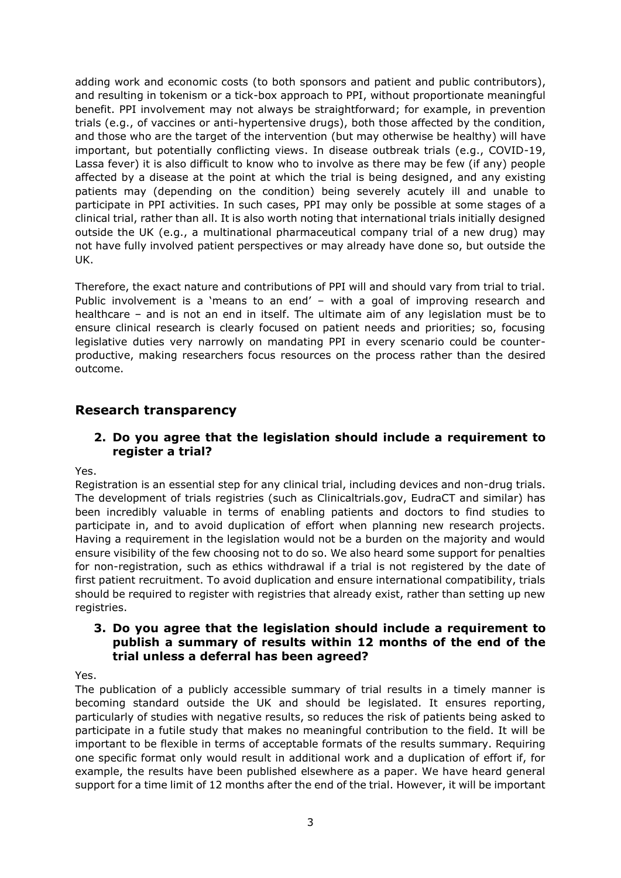adding work and economic costs (to both sponsors and patient and public contributors), and resulting in tokenism or a tick-box approach to PPI, without proportionate meaningful benefit. PPI involvement may not always be straightforward; for example, in prevention trials (e.g., of vaccines or anti-hypertensive drugs), both those affected by the condition, and those who are the target of the intervention (but may otherwise be healthy) will have important, but potentially conflicting views. In disease outbreak trials (e.g., COVID-19, Lassa fever) it is also difficult to know who to involve as there may be few (if any) people affected by a disease at the point at which the trial is being designed, and any existing patients may (depending on the condition) being severely acutely ill and unable to participate in PPI activities. In such cases, PPI may only be possible at some stages of a clinical trial, rather than all. It is also worth noting that international trials initially designed outside the UK (e.g., a multinational pharmaceutical company trial of a new drug) may not have fully involved patient perspectives or may already have done so, but outside the UK.

Therefore, the exact nature and contributions of PPI will and should vary from trial to trial. Public involvement is a 'means to an end' - with a goal of improving research and healthcare – and is not an end in itself. The ultimate aim of any legislation must be to ensure clinical research is clearly focused on patient needs and priorities; so, focusing legislative duties very narrowly on mandating PPI in every scenario could be counterproductive, making researchers focus resources on the process rather than the desired outcome.

# **Research transparency**

### **2. Do you agree that the legislation should include a requirement to register a trial?**

Yes.

Registration is an essential step for any clinical trial, including devices and non-drug trials. The development of trials registries (such as Clinicaltrials.gov, EudraCT and similar) has been incredibly valuable in terms of enabling patients and doctors to find studies to participate in, and to avoid duplication of effort when planning new research projects. Having a requirement in the legislation would not be a burden on the majority and would ensure visibility of the few choosing not to do so. We also heard some support for penalties for non-registration, such as ethics withdrawal if a trial is not registered by the date of first patient recruitment. To avoid duplication and ensure international compatibility, trials should be required to register with registries that already exist, rather than setting up new registries.

#### **3. Do you agree that the legislation should include a requirement to publish a summary of results within 12 months of the end of the trial unless a deferral has been agreed?**

Yes.

The publication of a publicly accessible summary of trial results in a timely manner is becoming standard outside the UK and should be legislated. It ensures reporting, particularly of studies with negative results, so reduces the risk of patients being asked to participate in a futile study that makes no meaningful contribution to the field. It will be important to be flexible in terms of acceptable formats of the results summary. Requiring one specific format only would result in additional work and a duplication of effort if, for example, the results have been published elsewhere as a paper. We have heard general support for a time limit of 12 months after the end of the trial. However, it will be important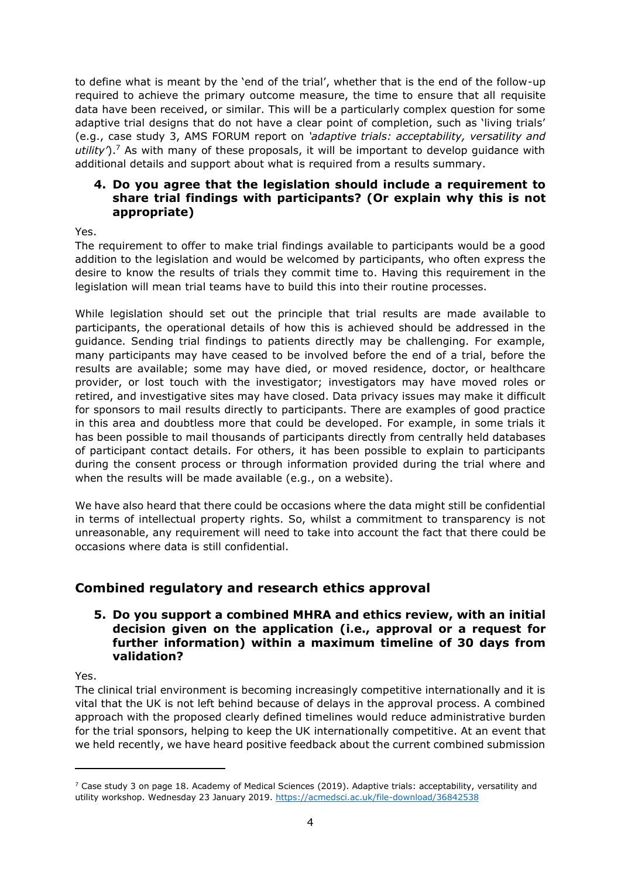to define what is meant by the 'end of the trial', whether that is the end of the follow-up required to achieve the primary outcome measure, the time to ensure that all requisite data have been received, or similar. This will be a particularly complex question for some adaptive trial designs that do not have a clear point of completion, such as 'living trials' (e.g., case study 3, AMS FORUM report on *'adaptive trials: acceptability, versatility and utility'*).<sup>7</sup> As with many of these proposals, it will be important to develop guidance with additional details and support about what is required from a results summary.

### **4. Do you agree that the legislation should include a requirement to share trial findings with participants? (Or explain why this is not appropriate)**

Yes.

The requirement to offer to make trial findings available to participants would be a good addition to the legislation and would be welcomed by participants, who often express the desire to know the results of trials they commit time to. Having this requirement in the legislation will mean trial teams have to build this into their routine processes.

While legislation should set out the principle that trial results are made available to participants, the operational details of how this is achieved should be addressed in the guidance. Sending trial findings to patients directly may be challenging. For example, many participants may have ceased to be involved before the end of a trial, before the results are available; some may have died, or moved residence, doctor, or healthcare provider, or lost touch with the investigator; investigators may have moved roles or retired, and investigative sites may have closed. Data privacy issues may make it difficult for sponsors to mail results directly to participants. There are examples of good practice in this area and doubtless more that could be developed. For example, in some trials it has been possible to mail thousands of participants directly from centrally held databases of participant contact details. For others, it has been possible to explain to participants during the consent process or through information provided during the trial where and when the results will be made available (e.g., on a website).

We have also heard that there could be occasions where the data might still be confidential in terms of intellectual property rights. So, whilst a commitment to transparency is not unreasonable, any requirement will need to take into account the fact that there could be occasions where data is still confidential.

# **Combined regulatory and research ethics approval**

#### **5. Do you support a combined MHRA and ethics review, with an initial decision given on the application (i.e., approval or a request for further information) within a maximum timeline of 30 days from validation?**

Yes.

The clinical trial environment is becoming increasingly competitive internationally and it is vital that the UK is not left behind because of delays in the approval process. A combined approach with the proposed clearly defined timelines would reduce administrative burden for the trial sponsors, helping to keep the UK internationally competitive. At an event that we held recently, we have heard positive feedback about the current combined submission

 $7$  Case study 3 on page 18. Academy of Medical Sciences (2019). Adaptive trials: acceptability, versatility and utility workshop. Wednesday 23 January 2019. <https://acmedsci.ac.uk/file-download/36842538>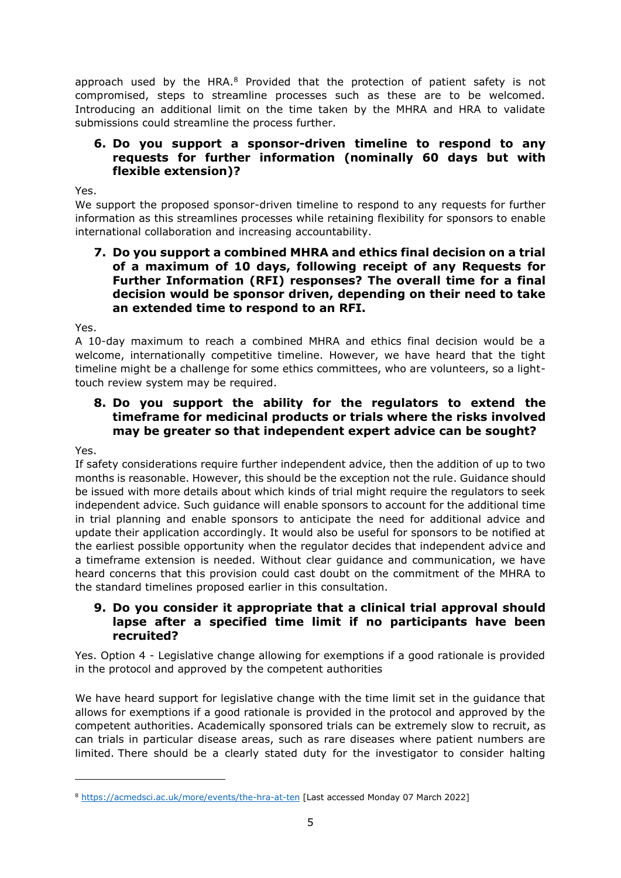approach used by the HRA. $8$  Provided that the protection of patient safety is not compromised, steps to streamline processes such as these are to be welcomed. Introducing an additional limit on the time taken by the MHRA and HRA to validate submissions could streamline the process further.

#### **6. Do you support a sponsor-driven timeline to respond to any requests for further information (nominally 60 days but with flexible extension)?**

Yes.

We support the proposed sponsor-driven timeline to respond to any requests for further information as this streamlines processes while retaining flexibility for sponsors to enable international collaboration and increasing accountability.

#### **7. Do you support a combined MHRA and ethics final decision on a trial of a maximum of 10 days, following receipt of any Requests for Further Information (RFI) responses? The overall time for a final decision would be sponsor driven, depending on their need to take an extended time to respond to an RFI.**

Yes.

A 10-day maximum to reach a combined MHRA and ethics final decision would be a welcome, internationally competitive timeline. However, we have heard that the tight timeline might be a challenge for some ethics committees, who are volunteers, so a lighttouch review system may be required.

### **8. Do you support the ability for the regulators to extend the timeframe for medicinal products or trials where the risks involved may be greater so that independent expert advice can be sought?**

Yes.

If safety considerations require further independent advice, then the addition of up to two months is reasonable. However, this should be the exception not the rule. Guidance should be issued with more details about which kinds of trial might require the regulators to seek independent advice. Such guidance will enable sponsors to account for the additional time in trial planning and enable sponsors to anticipate the need for additional advice and update their application accordingly. It would also be useful for sponsors to be notified at the earliest possible opportunity when the regulator decides that independent advice and a timeframe extension is needed. Without clear guidance and communication, we have heard concerns that this provision could cast doubt on the commitment of the MHRA to the standard timelines proposed earlier in this consultation.

#### **9. Do you consider it appropriate that a clinical trial approval should lapse after a specified time limit if no participants have been recruited?**

Yes. Option 4 - Legislative change allowing for exemptions if a good rationale is provided in the protocol and approved by the competent authorities

We have heard support for legislative change with the time limit set in the guidance that allows for exemptions if a good rationale is provided in the protocol and approved by the competent authorities. Academically sponsored trials can be extremely slow to recruit, as can trials in particular disease areas, such as rare diseases where patient numbers are limited. There should be a clearly stated duty for the investigator to consider halting

<sup>8</sup> <https://acmedsci.ac.uk/more/events/the-hra-at-ten> [Last accessed Monday 07 March 2022]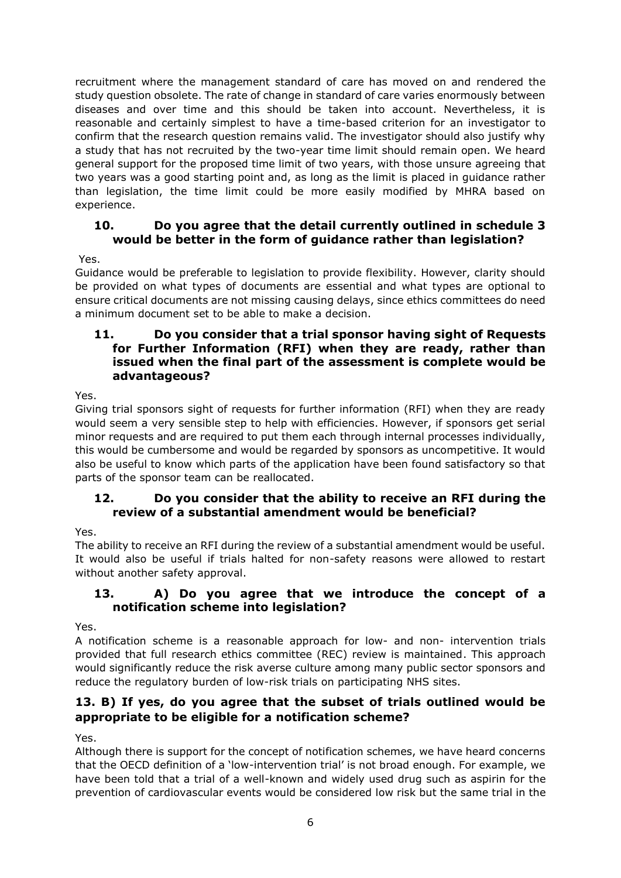recruitment where the management standard of care has moved on and rendered the study question obsolete. The rate of change in standard of care varies enormously between diseases and over time and this should be taken into account. Nevertheless, it is reasonable and certainly simplest to have a time-based criterion for an investigator to confirm that the research question remains valid. The investigator should also justify why a study that has not recruited by the two-year time limit should remain open. We heard general support for the proposed time limit of two years, with those unsure agreeing that two years was a good starting point and, as long as the limit is placed in guidance rather than legislation, the time limit could be more easily modified by MHRA based on experience.

## **10. Do you agree that the detail currently outlined in schedule 3 would be better in the form of guidance rather than legislation?**

Yes.

Guidance would be preferable to legislation to provide flexibility. However, clarity should be provided on what types of documents are essential and what types are optional to ensure critical documents are not missing causing delays, since ethics committees do need a minimum document set to be able to make a decision.

#### **11. Do you consider that a trial sponsor having sight of Requests for Further Information (RFI) when they are ready, rather than issued when the final part of the assessment is complete would be advantageous?**

Yes.

Giving trial sponsors sight of requests for further information (RFI) when they are ready would seem a very sensible step to help with efficiencies. However, if sponsors get serial minor requests and are required to put them each through internal processes individually, this would be cumbersome and would be regarded by sponsors as uncompetitive. It would also be useful to know which parts of the application have been found satisfactory so that parts of the sponsor team can be reallocated.

## **12. Do you consider that the ability to receive an RFI during the review of a substantial amendment would be beneficial?**

Yes.

The ability to receive an RFI during the review of a substantial amendment would be useful. It would also be useful if trials halted for non-safety reasons were allowed to restart without another safety approval.

## <span id="page-5-0"></span>**13. A) Do you agree that we introduce the concept of a notification scheme into legislation?**

Yes.

A notification scheme is a reasonable approach for low- and non- intervention trials provided that full research ethics committee (REC) review is maintained. This approach would significantly reduce the risk averse culture among many public sector sponsors and reduce the regulatory burden of low-risk trials on participating NHS sites.

# **13. B) If yes, do you agree that the subset of trials outlined would be appropriate to be eligible for a notification scheme?**

Yes.

Although there is support for the concept of notification schemes, we have heard concerns that the OECD definition of a 'low-intervention trial' is not broad enough. For example, we have been told that a trial of a well-known and widely used drug such as aspirin for the prevention of cardiovascular events would be considered low risk but the same trial in the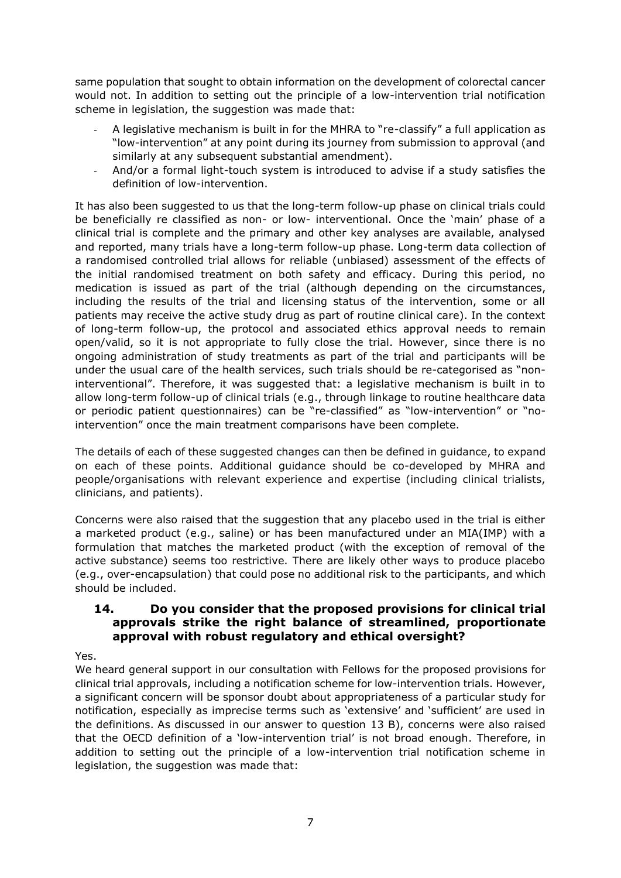same population that sought to obtain information on the development of colorectal cancer would not. In addition to setting out the principle of a low-intervention trial notification scheme in legislation, the suggestion was made that:

- A legislative mechanism is built in for the MHRA to "re-classify" a full application as "low-intervention" at any point during its journey from submission to approval (and similarly at any subsequent substantial amendment).
- And/or a formal light-touch system is introduced to advise if a study satisfies the definition of low-intervention.

It has also been suggested to us that the long-term follow-up phase on clinical trials could be beneficially re classified as non- or low- interventional. Once the 'main' phase of a clinical trial is complete and the primary and other key analyses are available, analysed and reported, many trials have a long-term follow-up phase. Long-term data collection of a randomised controlled trial allows for reliable (unbiased) assessment of the effects of the initial randomised treatment on both safety and efficacy. During this period, no medication is issued as part of the trial (although depending on the circumstances, including the results of the trial and licensing status of the intervention, some or all patients may receive the active study drug as part of routine clinical care). In the context of long-term follow-up, the protocol and associated ethics approval needs to remain open/valid, so it is not appropriate to fully close the trial. However, since there is no ongoing administration of study treatments as part of the trial and participants will be under the usual care of the health services, such trials should be re-categorised as "noninterventional". Therefore, it was suggested that: a legislative mechanism is built in to allow long-term follow-up of clinical trials (e.g., through linkage to routine healthcare data or periodic patient questionnaires) can be "re-classified" as "low-intervention" or "nointervention" once the main treatment comparisons have been complete.

The details of each of these suggested changes can then be defined in guidance, to expand on each of these points. Additional guidance should be co-developed by MHRA and people/organisations with relevant experience and expertise (including clinical trialists, clinicians, and patients).

Concerns were also raised that the suggestion that any placebo used in the trial is either a marketed product (e.g., saline) or has been manufactured under an MIA(IMP) with a formulation that matches the marketed product (with the exception of removal of the active substance) seems too restrictive. There are likely other ways to produce placebo (e.g., over-encapsulation) that could pose no additional risk to the participants, and which should be included.

## **14. Do you consider that the proposed provisions for clinical trial approvals strike the right balance of streamlined, proportionate approval with robust regulatory and ethical oversight?**

Yes.

We heard general support in our consultation with Fellows for the proposed provisions for clinical trial approvals, including a notification scheme for low-intervention trials. However, a significant concern will be sponsor doubt about appropriateness of a particular study for notification, especially as imprecise terms such as 'extensive' and 'sufficient' are used in the definitions. As discussed in our answer to question [13](#page-5-0) B), concerns were also raised that the OECD definition of a 'low-intervention trial' is not broad enough. Therefore, in addition to setting out the principle of a low-intervention trial notification scheme in legislation, the suggestion was made that: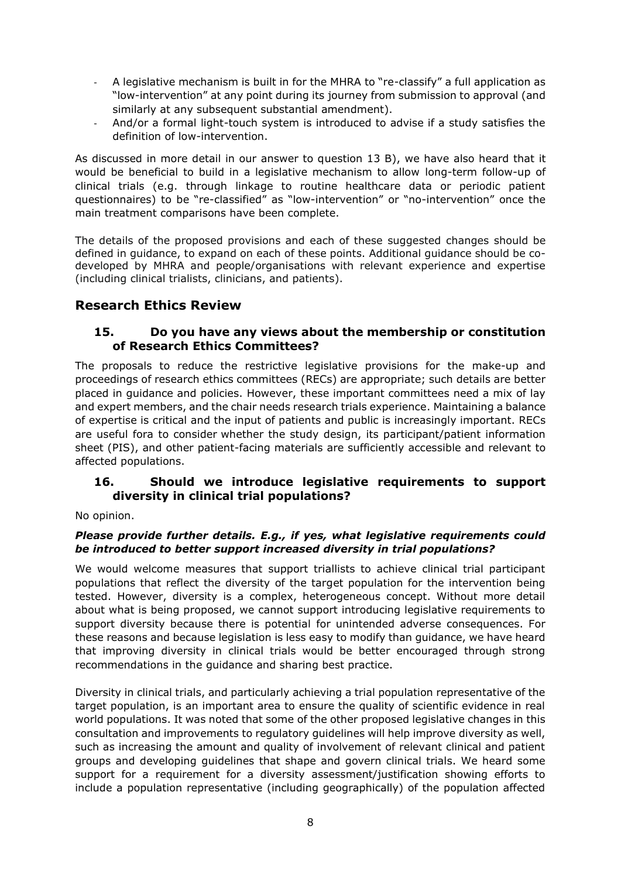- A legislative mechanism is built in for the MHRA to "re-classify" a full application as "low-intervention" at any point during its journey from submission to approval (and similarly at any subsequent substantial amendment).
- And/or a formal light-touch system is introduced to advise if a study satisfies the definition of low-intervention.

As discussed in more detail in our answer to question [13](#page-5-0) B), we have also heard that it would be beneficial to build in a legislative mechanism to allow long-term follow-up of clinical trials (e.g. through linkage to routine healthcare data or periodic patient questionnaires) to be "re-classified" as "low-intervention" or "no-intervention" once the main treatment comparisons have been complete.

The details of the proposed provisions and each of these suggested changes should be defined in guidance, to expand on each of these points. Additional guidance should be codeveloped by MHRA and people/organisations with relevant experience and expertise (including clinical trialists, clinicians, and patients).

# **Research Ethics Review**

#### **15. Do you have any views about the membership or constitution of Research Ethics Committees?**

The proposals to reduce the restrictive legislative provisions for the make-up and proceedings of research ethics committees (RECs) are appropriate; such details are better placed in guidance and policies. However, these important committees need a mix of lay and expert members, and the chair needs research trials experience. Maintaining a balance of expertise is critical and the input of patients and public is increasingly important. RECs are useful fora to consider whether the study design, its participant/patient information sheet (PIS), and other patient-facing materials are sufficiently accessible and relevant to affected populations.

### <span id="page-7-0"></span>**16. Should we introduce legislative requirements to support diversity in clinical trial populations?**

No opinion.

#### *Please provide further details. E.g., if yes, what legislative requirements could be introduced to better support increased diversity in trial populations?*

We would welcome measures that support triallists to achieve clinical trial participant populations that reflect the diversity of the target population for the intervention being tested. However, diversity is a complex, heterogeneous concept. Without more detail about what is being proposed, we cannot support introducing legislative requirements to support diversity because there is potential for unintended adverse consequences. For these reasons and because legislation is less easy to modify than guidance, we have heard that improving diversity in clinical trials would be better encouraged through strong recommendations in the guidance and sharing best practice.

Diversity in clinical trials, and particularly achieving a trial population representative of the target population, is an important area to ensure the quality of scientific evidence in real world populations. It was noted that some of the other proposed legislative changes in this consultation and improvements to regulatory guidelines will help improve diversity as well, such as increasing the amount and quality of involvement of relevant clinical and patient groups and developing guidelines that shape and govern clinical trials. We heard some support for a requirement for a diversity assessment/justification showing efforts to include a population representative (including geographically) of the population affected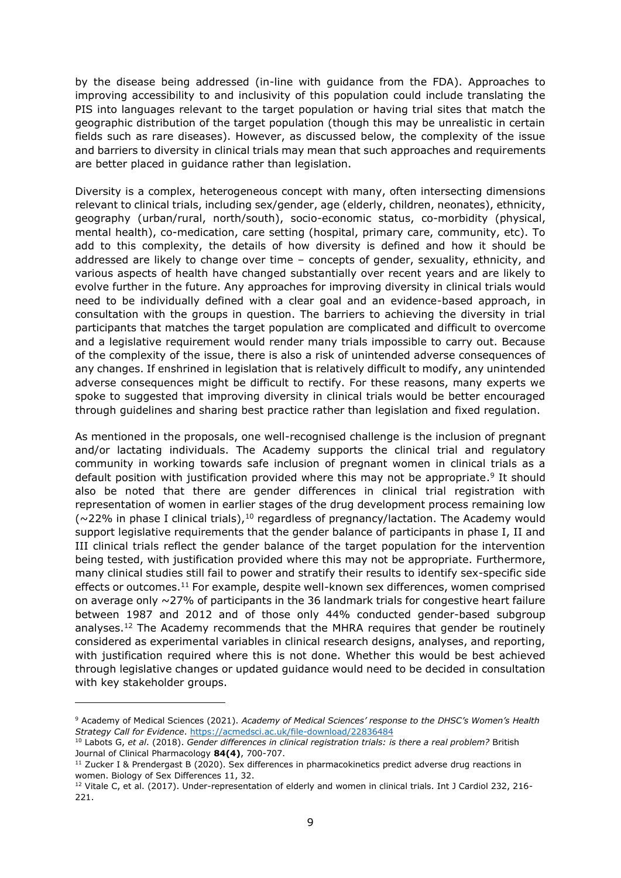by the disease being addressed (in-line with guidance from the FDA). Approaches to improving accessibility to and inclusivity of this population could include translating the PIS into languages relevant to the target population or having trial sites that match the geographic distribution of the target population (though this may be unrealistic in certain fields such as rare diseases). However, as discussed below, the complexity of the issue and barriers to diversity in clinical trials may mean that such approaches and requirements are better placed in guidance rather than legislation.

Diversity is a complex, heterogeneous concept with many, often intersecting dimensions relevant to clinical trials, including sex/gender, age (elderly, children, neonates), ethnicity, geography (urban/rural, north/south), socio-economic status, co-morbidity (physical, mental health), co-medication, care setting (hospital, primary care, community, etc). To add to this complexity, the details of how diversity is defined and how it should be addressed are likely to change over time – concepts of gender, sexuality, ethnicity, and various aspects of health have changed substantially over recent years and are likely to evolve further in the future. Any approaches for improving diversity in clinical trials would need to be individually defined with a clear goal and an evidence-based approach, in consultation with the groups in question. The barriers to achieving the diversity in trial participants that matches the target population are complicated and difficult to overcome and a legislative requirement would render many trials impossible to carry out. Because of the complexity of the issue, there is also a risk of unintended adverse consequences of any changes. If enshrined in legislation that is relatively difficult to modify, any unintended adverse consequences might be difficult to rectify. For these reasons, many experts we spoke to suggested that improving diversity in clinical trials would be better encouraged through guidelines and sharing best practice rather than legislation and fixed regulation.

As mentioned in the proposals, one well-recognised challenge is the inclusion of pregnant and/or lactating individuals. The Academy supports the clinical trial and regulatory community in working towards safe inclusion of pregnant women in clinical trials as a default position with justification provided where this may not be appropriate.<sup>9</sup> It should also be noted that there are gender differences in clinical trial registration with representation of women in earlier stages of the drug development process remaining low ( $\sim$ 22% in phase I clinical trials),<sup>10</sup> regardless of pregnancy/lactation. The Academy would support legislative requirements that the gender balance of participants in phase I, II and III clinical trials reflect the gender balance of the target population for the intervention being tested, with justification provided where this may not be appropriate. Furthermore, many clinical studies still fail to power and stratify their results to identify sex-specific side effects or outcomes.<sup>11</sup> For example, despite well-known sex differences, women comprised on average only ~27% of participants in the 36 landmark trials for congestive heart failure between 1987 and 2012 and of those only 44% conducted gender-based subgroup analyses.<sup>12</sup> The Academy recommends that the MHRA requires that gender be routinely considered as experimental variables in clinical research designs, analyses, and reporting, with justification required where this is not done. Whether this would be best achieved through legislative changes or updated guidance would need to be decided in consultation with key stakeholder groups.

<sup>9</sup> Academy of Medical Sciences (2021). *Academy of Medical Sciences' response to the DHSC's Women's Health Strategy Call for Evidence*.<https://acmedsci.ac.uk/file-download/22836484>

<sup>10</sup> Labots G, *et al*. (2018). *Gender differences in clinical registration trials: is there a real problem?* British Journal of Clinical Pharmacology **84(4)**, 700-707.

<sup>&</sup>lt;sup>11</sup> Zucker I & Prendergast B (2020). Sex differences in pharmacokinetics predict adverse drug reactions in women. Biology of Sex Differences 11, 32.

<sup>&</sup>lt;sup>12</sup> Vitale C, et al. (2017). Under-representation of elderly and women in clinical trials. Int J Cardiol 232, 216-221.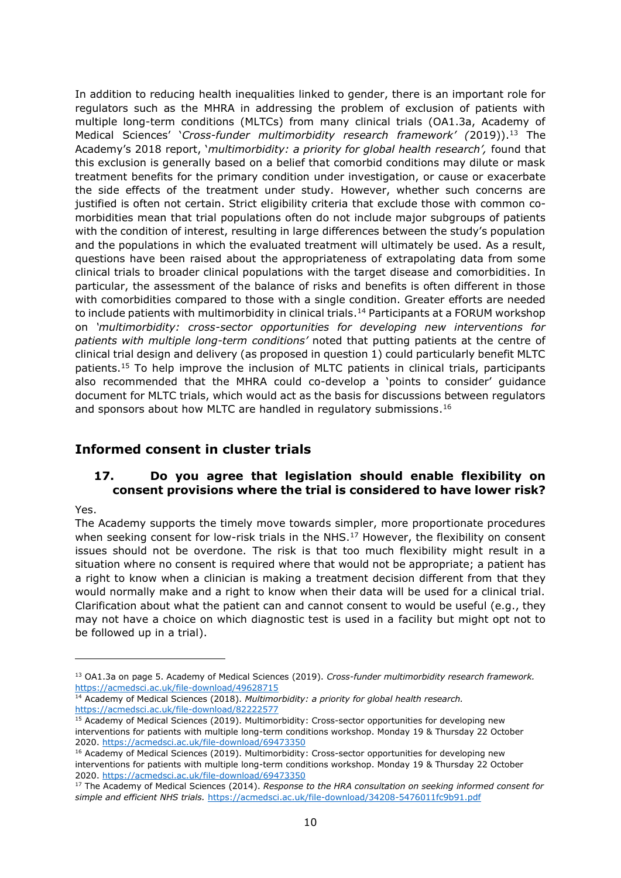In addition to reducing health inequalities linked to gender, there is an important role for regulators such as the MHRA in addressing the problem of exclusion of patients with multiple long-term conditions (MLTCs) from many clinical trials (OA1.3a, Academy of Medical Sciences' '*Cross-funder multimorbidity research framework' (*2019)).<sup>13</sup> The Academy's 2018 report, '*multimorbidity: a priority for global health research',* found that this exclusion is generally based on a belief that comorbid conditions may dilute or mask treatment benefits for the primary condition under investigation, or cause or exacerbate the side effects of the treatment under study. However, whether such concerns are justified is often not certain. Strict eligibility criteria that exclude those with common comorbidities mean that trial populations often do not include major subgroups of patients with the condition of interest, resulting in large differences between the study's population and the populations in which the evaluated treatment will ultimately be used. As a result, questions have been raised about the appropriateness of extrapolating data from some clinical trials to broader clinical populations with the target disease and comorbidities. In particular, the assessment of the balance of risks and benefits is often different in those with comorbidities compared to those with a single condition. Greater efforts are needed to include patients with multimorbidity in clinical trials.<sup>14</sup> Participants at a FORUM workshop on *'multimorbidity: cross-sector opportunities for developing new interventions for patients with multiple long-term conditions'* noted that putting patients at the centre of clinical trial design and delivery (as proposed in question 1) could particularly benefit MLTC patients.<sup>15</sup> To help improve the inclusion of MLTC patients in clinical trials, participants also recommended that the MHRA could co-develop a 'points to consider' guidance document for MLTC trials, which would act as the basis for discussions between regulators and sponsors about how MLTC are handled in regulatory submissions.<sup>16</sup>

# **Informed consent in cluster trials**

## <span id="page-9-0"></span>**17. Do you agree that legislation should enable flexibility on consent provisions where the trial is considered to have lower risk?**

#### Yes.

The Academy supports the timely move towards simpler, more proportionate procedures when seeking consent for low-risk trials in the NHS. $^{17}$  However, the flexibility on consent issues should not be overdone. The risk is that too much flexibility might result in a situation where no consent is required where that would not be appropriate; a patient has a right to know when a clinician is making a treatment decision different from that they would normally make and a right to know when their data will be used for a clinical trial. Clarification about what the patient can and cannot consent to would be useful (e.g., they may not have a choice on which diagnostic test is used in a facility but might opt not to be followed up in a trial).

<sup>13</sup> OA1.3a on page 5. Academy of Medical Sciences (2019). *Cross-funder multimorbidity research framework.*  <https://acmedsci.ac.uk/file-download/49628715>

<sup>14</sup> Academy of Medical Sciences (2018). *Multimorbidity: a priority for global health research.* <https://acmedsci.ac.uk/file-download/82222577>

<sup>&</sup>lt;sup>15</sup> Academy of Medical Sciences (2019). Multimorbidity: Cross-sector opportunities for developing new interventions for patients with multiple long-term conditions workshop. Monday 19 & Thursday 22 October 2020.<https://acmedsci.ac.uk/file-download/69473350>

<sup>&</sup>lt;sup>16</sup> Academy of Medical Sciences (2019). Multimorbidity: Cross-sector opportunities for developing new interventions for patients with multiple long-term conditions workshop. Monday 19 & Thursday 22 October 2020.<https://acmedsci.ac.uk/file-download/69473350>

<sup>&</sup>lt;sup>17</sup> The Academy of Medical Sciences (2014). Response to the HRA consultation on seeking informed consent for *simple and efficient NHS trials.* <https://acmedsci.ac.uk/file-download/34208-5476011fc9b91.pdf>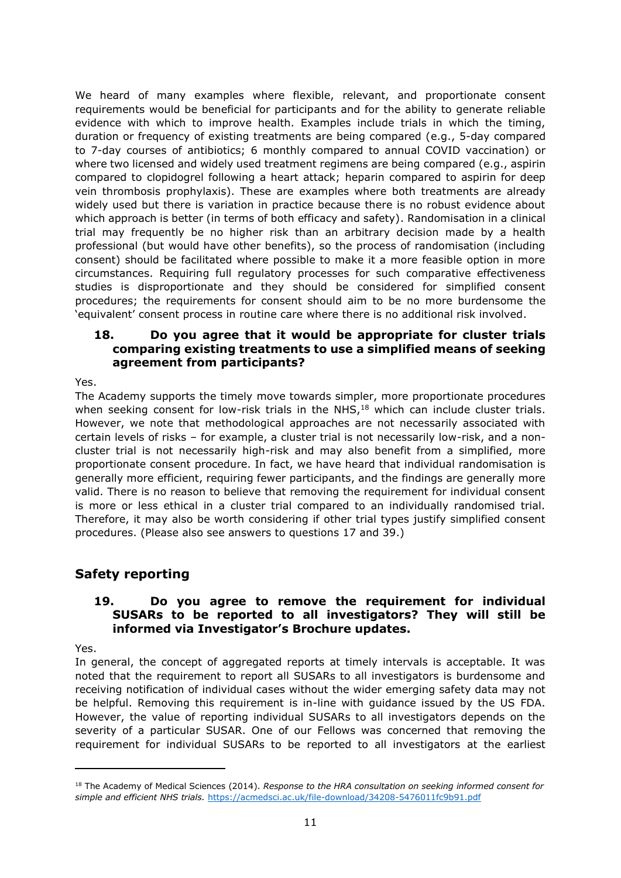We heard of many examples where flexible, relevant, and proportionate consent requirements would be beneficial for participants and for the ability to generate reliable evidence with which to improve health. Examples include trials in which the timing, duration or frequency of existing treatments are being compared (e.g., 5-day compared to 7-day courses of antibiotics; 6 monthly compared to annual COVID vaccination) or where two licensed and widely used treatment regimens are being compared (e.g., aspirin compared to clopidogrel following a heart attack; heparin compared to aspirin for deep vein thrombosis prophylaxis). These are examples where both treatments are already widely used but there is variation in practice because there is no robust evidence about which approach is better (in terms of both efficacy and safety). Randomisation in a clinical trial may frequently be no higher risk than an arbitrary decision made by a health professional (but would have other benefits), so the process of randomisation (including consent) should be facilitated where possible to make it a more feasible option in more circumstances. Requiring full regulatory processes for such comparative effectiveness studies is disproportionate and they should be considered for simplified consent procedures; the requirements for consent should aim to be no more burdensome the 'equivalent' consent process in routine care where there is no additional risk involved.

#### **18. Do you agree that it would be appropriate for cluster trials comparing existing treatments to use a simplified means of seeking agreement from participants?**

#### Yes.

The Academy supports the timely move towards simpler, more proportionate procedures when seeking consent for low-risk trials in the NHS, $<sup>18</sup>$  which can include cluster trials.</sup> However, we note that methodological approaches are not necessarily associated with certain levels of risks – for example, a cluster trial is not necessarily low-risk, and a noncluster trial is not necessarily high-risk and may also benefit from a simplified, more proportionate consent procedure. In fact, we have heard that individual randomisation is generally more efficient, requiring fewer participants, and the findings are generally more valid. There is no reason to believe that removing the requirement for individual consent is more or less ethical in a cluster trial compared to an individually randomised trial. Therefore, it may also be worth considering if other trial types justify simplified consent procedures. (Please also see answers to questions [17](#page-9-0) and [39.](#page-17-0))

# **Safety reporting**

#### <span id="page-10-0"></span>**19. Do you agree to remove the requirement for individual SUSARs to be reported to all investigators? They will still be informed via Investigator's Brochure updates.**

Yes.

In general, the concept of aggregated reports at timely intervals is acceptable. It was noted that the requirement to report all SUSARs to all investigators is burdensome and receiving notification of individual cases without the wider emerging safety data may not be helpful. Removing this requirement is in-line with guidance issued by the US FDA. However, the value of reporting individual SUSARs to all investigators depends on the severity of a particular SUSAR. One of our Fellows was concerned that removing the requirement for individual SUSARs to be reported to all investigators at the earliest

<sup>18</sup> The Academy of Medical Sciences (2014). *Response to the HRA consultation on seeking informed consent for simple and efficient NHS trials.* <https://acmedsci.ac.uk/file-download/34208-5476011fc9b91.pdf>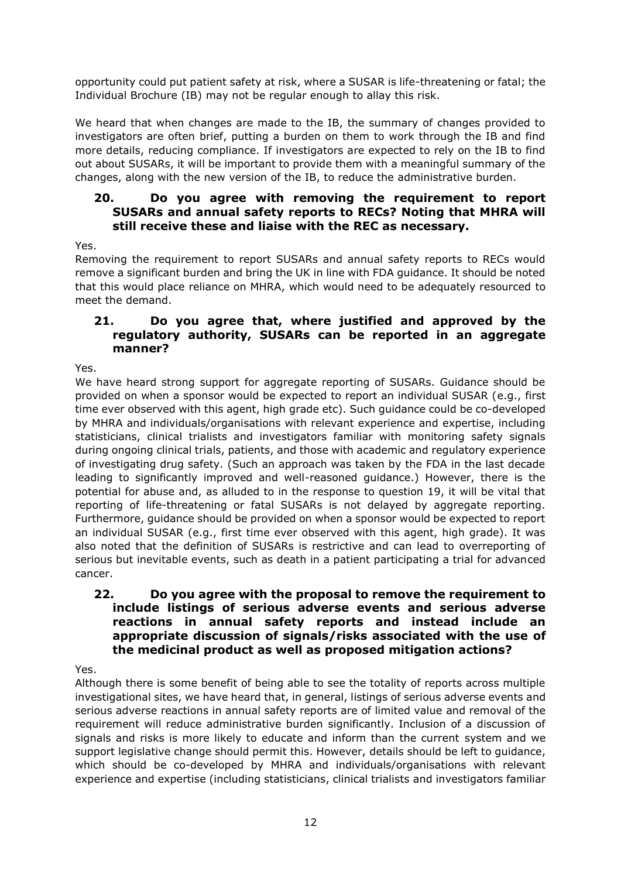opportunity could put patient safety at risk, where a SUSAR is life-threatening or fatal; the Individual Brochure (IB) may not be regular enough to allay this risk.

We heard that when changes are made to the IB, the summary of changes provided to investigators are often brief, putting a burden on them to work through the IB and find more details, reducing compliance. If investigators are expected to rely on the IB to find out about SUSARs, it will be important to provide them with a meaningful summary of the changes, along with the new version of the IB, to reduce the administrative burden.

#### **20. Do you agree with removing the requirement to report SUSARs and annual safety reports to RECs? Noting that MHRA will still receive these and liaise with the REC as necessary.**

Yes.

Removing the requirement to report SUSARs and annual safety reports to RECs would remove a significant burden and bring the UK in line with FDA guidance. It should be noted that this would place reliance on MHRA, which would need to be adequately resourced to meet the demand.

## <span id="page-11-0"></span>**21. Do you agree that, where justified and approved by the regulatory authority, SUSARs can be reported in an aggregate manner?**

Yes.

We have heard strong support for aggregate reporting of SUSARs. Guidance should be provided on when a sponsor would be expected to report an individual SUSAR (e.g., first time ever observed with this agent, high grade etc). Such guidance could be co-developed by MHRA and individuals/organisations with relevant experience and expertise, including statisticians, clinical trialists and investigators familiar with monitoring safety signals during ongoing clinical trials, patients, and those with academic and regulatory experience of investigating drug safety. (Such an approach was taken by the FDA in the last decade leading to significantly improved and well-reasoned guidance.) However, there is the potential for abuse and, as alluded to in the response to question 19, it will be vital that reporting of life-threatening or fatal SUSARs is not delayed by aggregate reporting. Furthermore, guidance should be provided on when a sponsor would be expected to report an individual SUSAR (e.g., first time ever observed with this agent, high grade). It was also noted that the definition of SUSARs is restrictive and can lead to overreporting of serious but inevitable events, such as death in a patient participating a trial for advanced cancer.

## **22. Do you agree with the proposal to remove the requirement to include listings of serious adverse events and serious adverse reactions in annual safety reports and instead include an appropriate discussion of signals/risks associated with the use of the medicinal product as well as proposed mitigation actions?**

Yes.

Although there is some benefit of being able to see the totality of reports across multiple investigational sites, we have heard that, in general, listings of serious adverse events and serious adverse reactions in annual safety reports are of limited value and removal of the requirement will reduce administrative burden significantly. Inclusion of a discussion of signals and risks is more likely to educate and inform than the current system and we support legislative change should permit this. However, details should be left to guidance, which should be co-developed by MHRA and individuals/organisations with relevant experience and expertise (including statisticians, clinical trialists and investigators familiar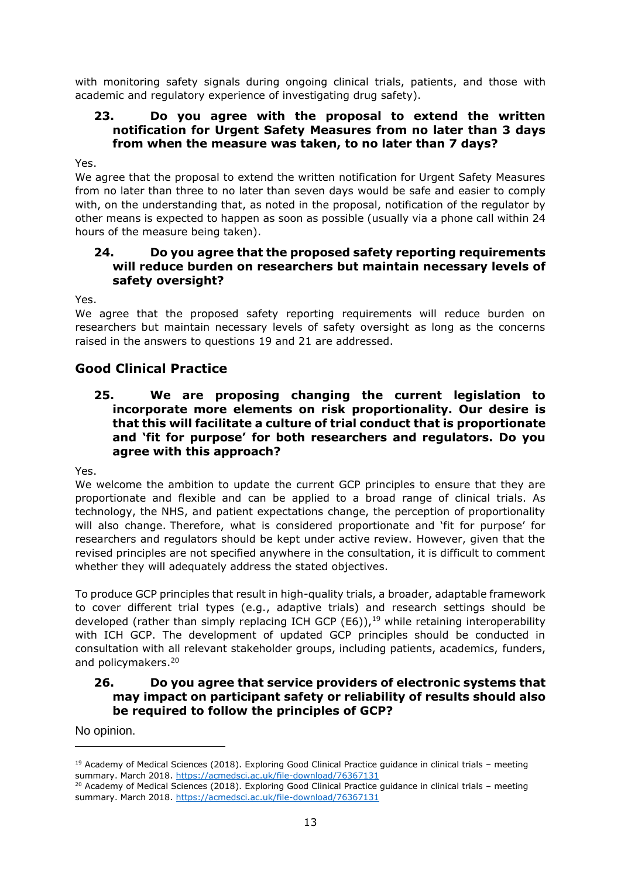with monitoring safety signals during ongoing clinical trials, patients, and those with academic and regulatory experience of investigating drug safety).

### **23. Do you agree with the proposal to extend the written notification for Urgent Safety Measures from no later than 3 days from when the measure was taken, to no later than 7 days?**

Yes.

We agree that the proposal to extend the written notification for Urgent Safety Measures from no later than three to no later than seven days would be safe and easier to comply with, on the understanding that, as noted in the proposal, notification of the regulator by other means is expected to happen as soon as possible (usually via a phone call within 24 hours of the measure being taken).

#### **24. Do you agree that the proposed safety reporting requirements will reduce burden on researchers but maintain necessary levels of safety oversight?**

Yes.

We agree that the proposed safety reporting requirements will reduce burden on researchers but maintain necessary levels of safety oversight as long as the concerns raised in the answers to questions [19](#page-10-0) and [21](#page-11-0) are addressed.

# **Good Clinical Practice**

<span id="page-12-0"></span>**25. We are proposing changing the current legislation to incorporate more elements on risk proportionality. Our desire is that this will facilitate a culture of trial conduct that is proportionate and 'fit for purpose' for both researchers and regulators. Do you agree with this approach?** 

Yes.

We welcome the ambition to update the current GCP principles to ensure that they are proportionate and flexible and can be applied to a broad range of clinical trials. As technology, the NHS, and patient expectations change, the perception of proportionality will also change. Therefore, what is considered proportionate and 'fit for purpose' for researchers and regulators should be kept under active review. However, given that the revised principles are not specified anywhere in the consultation, it is difficult to comment whether they will adequately address the stated objectives.

To produce GCP principles that result in high-quality trials, a broader, adaptable framework to cover different trial types (e.g., adaptive trials) and research settings should be developed (rather than simply replacing ICH GCP (E6)), $19$  while retaining interoperability with ICH GCP. The development of updated GCP principles should be conducted in consultation with all relevant stakeholder groups, including patients, academics, funders, and policymakers. 20

### **26. Do you agree that service providers of electronic systems that may impact on participant safety or reliability of results should also be required to follow the principles of GCP?**

No opinion.

<sup>&</sup>lt;sup>19</sup> Academy of Medical Sciences (2018). Exploring Good Clinical Practice guidance in clinical trials – meeting summary. March 2018.<https://acmedsci.ac.uk/file-download/76367131>

<sup>&</sup>lt;sup>20</sup> Academy of Medical Sciences (2018). Exploring Good Clinical Practice guidance in clinical trials - meeting summary. March 2018.<https://acmedsci.ac.uk/file-download/76367131>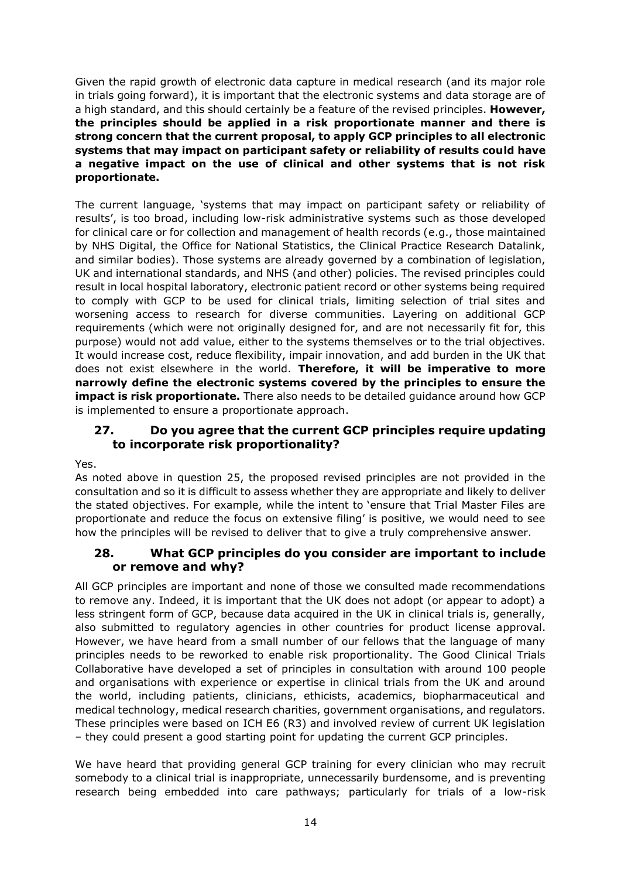Given the rapid growth of electronic data capture in medical research (and its major role in trials going forward), it is important that the electronic systems and data storage are of a high standard, and this should certainly be a feature of the revised principles. **However, the principles should be applied in a risk proportionate manner and there is strong concern that the current proposal, to apply GCP principles to all electronic systems that may impact on participant safety or reliability of results could have a negative impact on the use of clinical and other systems that is not risk proportionate.** 

The current language, 'systems that may impact on participant safety or reliability of results', is too broad, including low-risk administrative systems such as those developed for clinical care or for collection and management of health records (e.g., those maintained by NHS Digital, the Office for National Statistics, the Clinical Practice Research Datalink, and similar bodies). Those systems are already governed by a combination of legislation, UK and international standards, and NHS (and other) policies. The revised principles could result in local hospital laboratory, electronic patient record or other systems being required to comply with GCP to be used for clinical trials, limiting selection of trial sites and worsening access to research for diverse communities. Layering on additional GCP requirements (which were not originally designed for, and are not necessarily fit for, this purpose) would not add value, either to the systems themselves or to the trial objectives. It would increase cost, reduce flexibility, impair innovation, and add burden in the UK that does not exist elsewhere in the world. **Therefore, it will be imperative to more narrowly define the electronic systems covered by the principles to ensure the impact is risk proportionate.** There also needs to be detailed guidance around how GCP is implemented to ensure a proportionate approach.

### **27. Do you agree that the current GCP principles require updating to incorporate risk proportionality?**

Yes.

As noted above in question [25,](#page-12-0) the proposed revised principles are not provided in the consultation and so it is difficult to assess whether they are appropriate and likely to deliver the stated objectives. For example, while the intent to 'ensure that Trial Master Files are proportionate and reduce the focus on extensive filing' is positive, we would need to see how the principles will be revised to deliver that to give a truly comprehensive answer.

### **28. What GCP principles do you consider are important to include or remove and why?**

All GCP principles are important and none of those we consulted made recommendations to remove any. Indeed, it is important that the UK does not adopt (or appear to adopt) a less stringent form of GCP, because data acquired in the UK in clinical trials is, generally, also submitted to regulatory agencies in other countries for product license approval. However, we have heard from a small number of our fellows that the language of many principles needs to be reworked to enable risk proportionality. The Good Clinical Trials Collaborative have developed a set of principles in consultation with around 100 people and organisations with experience or expertise in clinical trials from the UK and around the world, including patients, clinicians, ethicists, academics, biopharmaceutical and medical technology, medical research charities, government organisations, and regulators. These principles were based on ICH E6 (R3) and involved review of current UK legislation – they could present a good starting point for updating the current GCP principles.

We have heard that providing general GCP training for every clinician who may recruit somebody to a clinical trial is inappropriate, unnecessarily burdensome, and is preventing research being embedded into care pathways; particularly for trials of a low-risk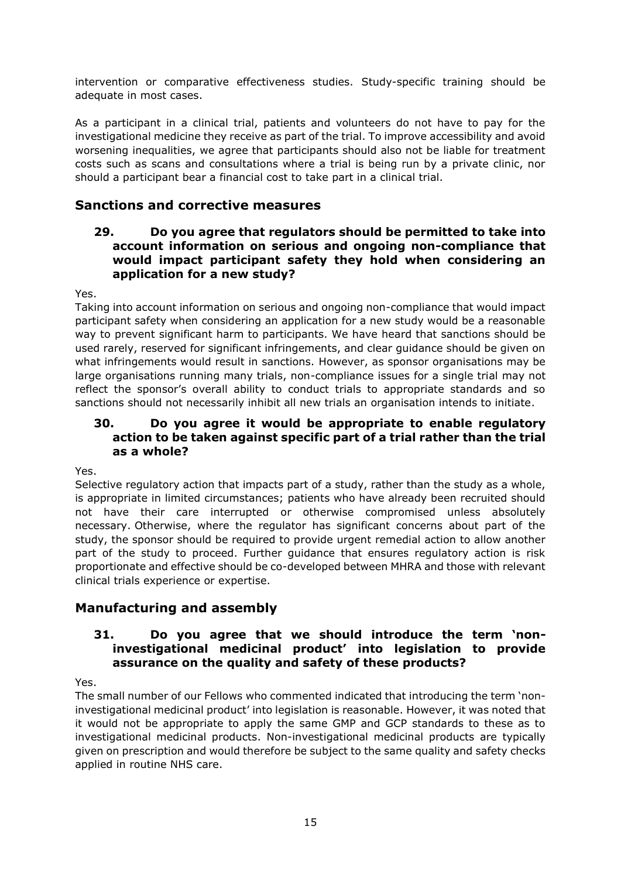intervention or comparative effectiveness studies. Study-specific training should be adequate in most cases.

As a participant in a clinical trial, patients and volunteers do not have to pay for the investigational medicine they receive as part of the trial. To improve accessibility and avoid worsening inequalities, we agree that participants should also not be liable for treatment costs such as scans and consultations where a trial is being run by a private clinic, nor should a participant bear a financial cost to take part in a clinical trial.

## **Sanctions and corrective measures**

#### **29. Do you agree that regulators should be permitted to take into account information on serious and ongoing non-compliance that would impact participant safety they hold when considering an application for a new study?**

Yes.

Taking into account information on serious and ongoing non-compliance that would impact participant safety when considering an application for a new study would be a reasonable way to prevent significant harm to participants. We have heard that sanctions should be used rarely, reserved for significant infringements, and clear guidance should be given on what infringements would result in sanctions. However, as sponsor organisations may be large organisations running many trials, non-compliance issues for a single trial may not reflect the sponsor's overall ability to conduct trials to appropriate standards and so sanctions should not necessarily inhibit all new trials an organisation intends to initiate.

### **30. Do you agree it would be appropriate to enable regulatory action to be taken against specific part of a trial rather than the trial as a whole?**

Yes.

Selective regulatory action that impacts part of a study, rather than the study as a whole, is appropriate in limited circumstances; patients who have already been recruited should not have their care interrupted or otherwise compromised unless absolutely necessary. Otherwise, where the regulator has significant concerns about part of the study, the sponsor should be required to provide urgent remedial action to allow another part of the study to proceed. Further guidance that ensures regulatory action is risk proportionate and effective should be co-developed between MHRA and those with relevant clinical trials experience or expertise.

# **Manufacturing and assembly**

#### **31. Do you agree that we should introduce the term 'noninvestigational medicinal product' into legislation to provide assurance on the quality and safety of these products?**

Yes.

The small number of our Fellows who commented indicated that introducing the term 'noninvestigational medicinal product' into legislation is reasonable. However, it was noted that it would not be appropriate to apply the same GMP and GCP standards to these as to investigational medicinal products. Non-investigational medicinal products are typically given on prescription and would therefore be subject to the same quality and safety checks applied in routine NHS care.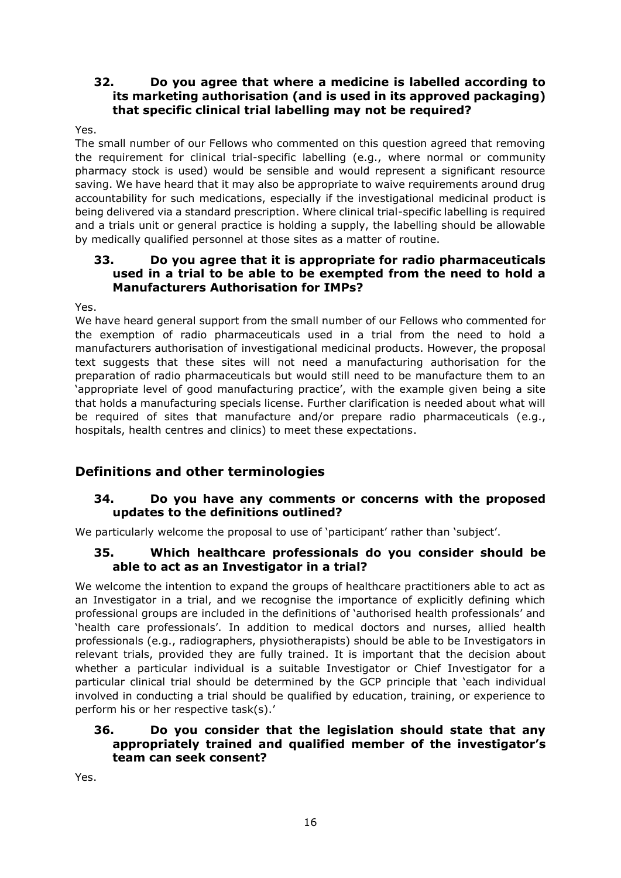### **32. Do you agree that where a medicine is labelled according to its marketing authorisation (and is used in its approved packaging) that specific clinical trial labelling may not be required?**

#### Yes.

The small number of our Fellows who commented on this question agreed that removing the requirement for clinical trial-specific labelling (e.g., where normal or community pharmacy stock is used) would be sensible and would represent a significant resource saving. We have heard that it may also be appropriate to waive requirements around drug accountability for such medications, especially if the investigational medicinal product is being delivered via a standard prescription. Where clinical trial-specific labelling is required and a trials unit or general practice is holding a supply, the labelling should be allowable by medically qualified personnel at those sites as a matter of routine.

#### **33. Do you agree that it is appropriate for radio pharmaceuticals used in a trial to be able to be exempted from the need to hold a Manufacturers Authorisation for IMPs?**

Yes.

We have heard general support from the small number of our Fellows who commented for the exemption of radio pharmaceuticals used in a trial from the need to hold a manufacturers authorisation of investigational medicinal products. However, the proposal text suggests that these sites will not need a manufacturing authorisation for the preparation of radio pharmaceuticals but would still need to be manufacture them to an 'appropriate level of good manufacturing practice', with the example given being a site that holds a manufacturing specials license. Further clarification is needed about what will be required of sites that manufacture and/or prepare radio pharmaceuticals (e.g., hospitals, health centres and clinics) to meet these expectations.

# **Definitions and other terminologies**

## **34. Do you have any comments or concerns with the proposed updates to the definitions outlined?**

We particularly welcome the proposal to use of 'participant' rather than 'subject'.

### **35. Which healthcare professionals do you consider should be able to act as an Investigator in a trial?**

We welcome the intention to expand the groups of healthcare practitioners able to act as an Investigator in a trial, and we recognise the importance of explicitly defining which professional groups are included in the definitions of 'authorised health professionals' and 'health care professionals'. In addition to medical doctors and nurses, allied health professionals (e.g., radiographers, physiotherapists) should be able to be Investigators in relevant trials, provided they are fully trained. It is important that the decision about whether a particular individual is a suitable Investigator or Chief Investigator for a particular clinical trial should be determined by the GCP principle that 'each individual involved in conducting a trial should be qualified by education, training, or experience to perform his or her respective task(s).'

#### **36. Do you consider that the legislation should state that any appropriately trained and qualified member of the investigator's team can seek consent?**

Yes.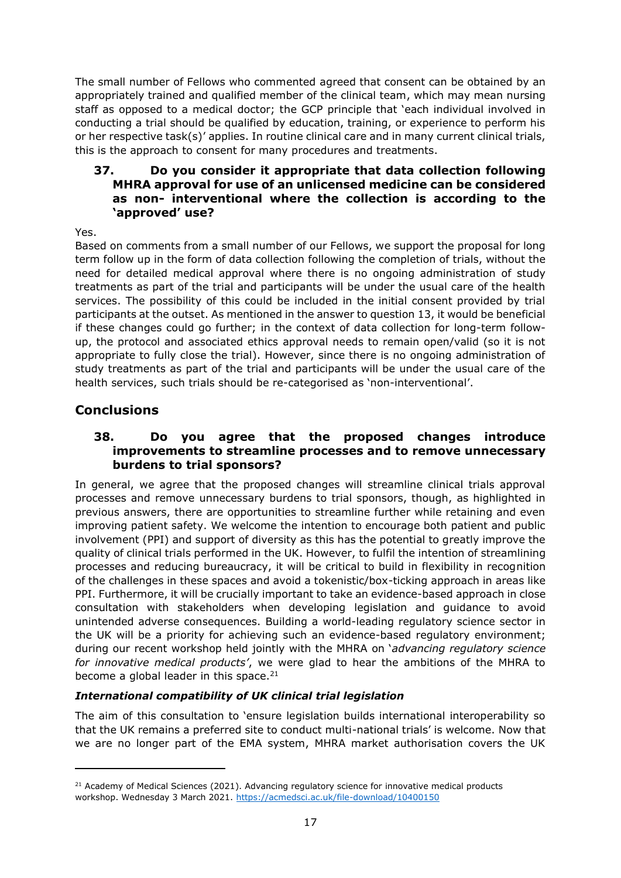The small number of Fellows who commented agreed that consent can be obtained by an appropriately trained and qualified member of the clinical team, which may mean nursing staff as opposed to a medical doctor; the GCP principle that 'each individual involved in conducting a trial should be qualified by education, training, or experience to perform his or her respective task(s)' applies. In routine clinical care and in many current clinical trials, this is the approach to consent for many procedures and treatments.

#### **37. Do you consider it appropriate that data collection following MHRA approval for use of an unlicensed medicine can be considered as non- interventional where the collection is according to the 'approved' use?**

Yes.

Based on comments from a small number of our Fellows, we support the proposal for long term follow up in the form of data collection following the completion of trials, without the need for detailed medical approval where there is no ongoing administration of study treatments as part of the trial and participants will be under the usual care of the health services. The possibility of this could be included in the initial consent provided by trial participants at the outset. As mentioned in the answer to question [13,](#page-5-0) it would be beneficial if these changes could go further; in the context of data collection for long-term followup, the protocol and associated ethics approval needs to remain open/valid (so it is not appropriate to fully close the trial). However, since there is no ongoing administration of study treatments as part of the trial and participants will be under the usual care of the health services, such trials should be re-categorised as 'non-interventional'.

# **Conclusions**

#### **38. Do you agree that the proposed changes introduce improvements to streamline processes and to remove unnecessary burdens to trial sponsors?**

In general, we agree that the proposed changes will streamline clinical trials approval processes and remove unnecessary burdens to trial sponsors, though, as highlighted in previous answers, there are opportunities to streamline further while retaining and even improving patient safety. We welcome the intention to encourage both patient and public involvement (PPI) and support of diversity as this has the potential to greatly improve the quality of clinical trials performed in the UK. However, to fulfil the intention of streamlining processes and reducing bureaucracy, it will be critical to build in flexibility in recognition of the challenges in these spaces and avoid a tokenistic/box-ticking approach in areas like PPI. Furthermore, it will be crucially important to take an evidence-based approach in close consultation with stakeholders when developing legislation and guidance to avoid unintended adverse consequences. Building a world-leading regulatory science sector in the UK will be a priority for achieving such an evidence-based regulatory environment; during our recent workshop held jointly with the MHRA on '*advancing regulatory science for innovative medical products'*, we were glad to hear the ambitions of the MHRA to become a global leader in this space. $21$ 

### *International compatibility of UK clinical trial legislation*

The aim of this consultation to 'ensure legislation builds international interoperability so that the UK remains a preferred site to conduct multi-national trials' is welcome. Now that we are no longer part of the EMA system, MHRA market authorisation covers the UK

<sup>&</sup>lt;sup>21</sup> Academy of Medical Sciences (2021). Advancing regulatory science for innovative medical products workshop. Wednesday 3 March 2021.<https://acmedsci.ac.uk/file-download/10400150>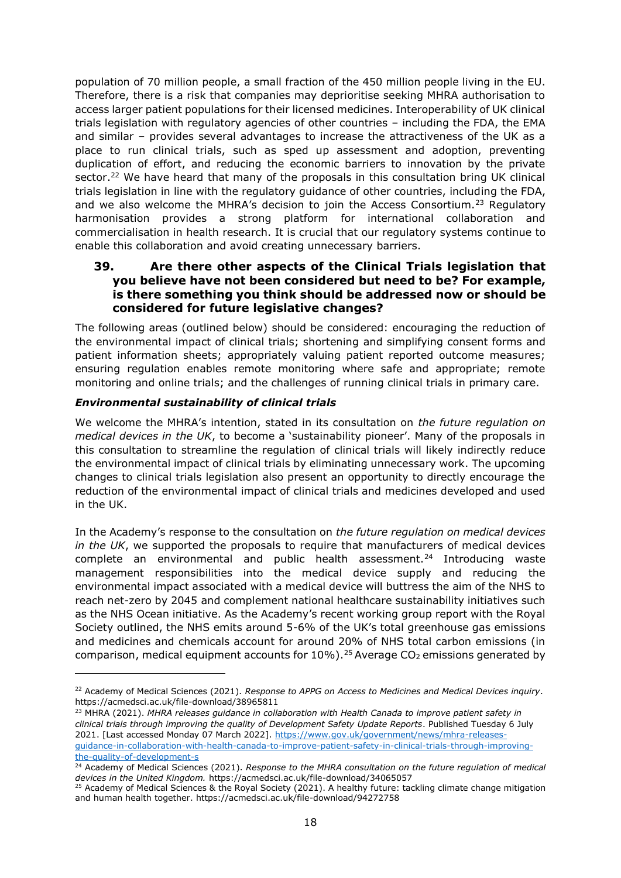population of 70 million people, a small fraction of the 450 million people living in the EU. Therefore, there is a risk that companies may deprioritise seeking MHRA authorisation to access larger patient populations for their licensed medicines. Interoperability of UK clinical trials legislation with regulatory agencies of other countries – including the FDA, the EMA and similar – provides several advantages to increase the attractiveness of the UK as a place to run clinical trials, such as sped up assessment and adoption, preventing duplication of effort, and reducing the economic barriers to innovation by the private sector.<sup>22</sup> We have heard that many of the proposals in this consultation bring UK clinical trials legislation in line with the regulatory guidance of other countries, including the FDA, and we also welcome the MHRA's decision to join the Access Consortium.<sup>23</sup> Regulatory harmonisation provides a strong platform for international collaboration and commercialisation in health research. It is crucial that our regulatory systems continue to enable this collaboration and avoid creating unnecessary barriers.

#### <span id="page-17-0"></span>**39. Are there other aspects of the Clinical Trials legislation that you believe have not been considered but need to be? For example, is there something you think should be addressed now or should be considered for future legislative changes?**

The following areas (outlined below) should be considered: encouraging the reduction of the environmental impact of clinical trials; shortening and simplifying consent forms and patient information sheets; appropriately valuing patient reported outcome measures; ensuring regulation enables remote monitoring where safe and appropriate; remote monitoring and online trials; and the challenges of running clinical trials in primary care.

#### *Environmental sustainability of clinical trials*

We welcome the MHRA's intention, stated in its consultation on *the future regulation on medical devices in the UK*, to become a 'sustainability pioneer'. Many of the proposals in this consultation to streamline the regulation of clinical trials will likely indirectly reduce the environmental impact of clinical trials by eliminating unnecessary work. The upcoming changes to clinical trials legislation also present an opportunity to directly encourage the reduction of the environmental impact of clinical trials and medicines developed and used in the UK.

In the Academy's response to the consultation on *the future regulation on medical devices in the UK*, we supported the proposals to require that manufacturers of medical devices complete an environmental and public health assessment.<sup>24</sup> Introducing waste management responsibilities into the medical device supply and reducing the environmental impact associated with a medical device will buttress the aim of the NHS to reach net-zero by 2045 and complement national healthcare sustainability initiatives such as the NHS Ocean initiative. As the Academy's recent working group report with the Royal Society outlined, the NHS emits around 5-6% of the UK's total greenhouse gas emissions and medicines and chemicals account for around 20% of NHS total carbon emissions (in comparison, medical equipment accounts for  $10\%$ ).<sup>25</sup> Average CO<sub>2</sub> emissions generated by

<sup>22</sup> Academy of Medical Sciences (2021). *Response to APPG on Access to Medicines and Medical Devices inquiry*. https://acmedsci.ac.uk/file-download/38965811

<sup>23</sup> MHRA (2021). *MHRA releases guidance in collaboration with Health Canada to improve patient safety in clinical trials through improving the quality of Development Safety Update Reports*. Published Tuesday 6 July 2021. [Last accessed Monday 07 March 2022]. [https://www.gov.uk/government/news/mhra-releases](https://www.gov.uk/government/news/mhra-releases-guidance-in-collaboration-with-health-canada-to-improve-patient-safety-in-clinical-trials-through-improving-the-quality-of-development-s)[guidance-in-collaboration-with-health-canada-to-improve-patient-safety-in-clinical-trials-through-improving](https://www.gov.uk/government/news/mhra-releases-guidance-in-collaboration-with-health-canada-to-improve-patient-safety-in-clinical-trials-through-improving-the-quality-of-development-s)[the-quality-of-development-s](https://www.gov.uk/government/news/mhra-releases-guidance-in-collaboration-with-health-canada-to-improve-patient-safety-in-clinical-trials-through-improving-the-quality-of-development-s)

<sup>24</sup> Academy of Medical Sciences (2021). *Response to the MHRA consultation on the future regulation of medical devices in the United Kingdom.* https://acmedsci.ac.uk/file-download/34065057

<sup>&</sup>lt;sup>25</sup> Academy of Medical Sciences & the Royal Society (2021). A healthy future: tackling climate change mitigation and human health together. https://acmedsci.ac.uk/file-download/94272758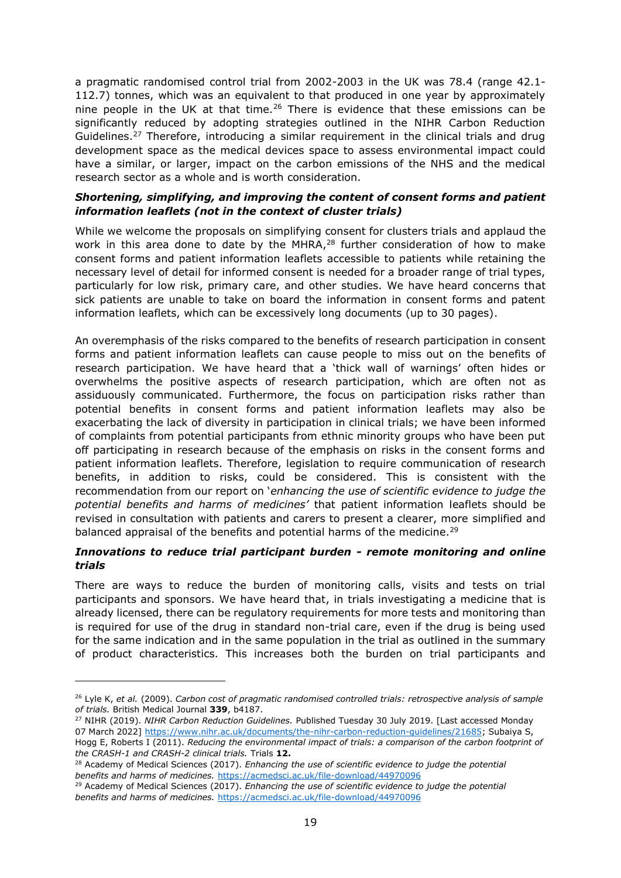a pragmatic randomised control trial from 2002-2003 in the UK was 78.4 (range 42.1- 112.7) tonnes, which was an equivalent to that produced in one year by approximately nine people in the UK at that time.<sup>26</sup> There is evidence that these emissions can be significantly reduced by adopting strategies outlined in the NIHR Carbon Reduction Guidelines.<sup>27</sup> Therefore, introducing a similar requirement in the clinical trials and drug development space as the medical devices space to assess environmental impact could have a similar, or larger, impact on the carbon emissions of the NHS and the medical research sector as a whole and is worth consideration.

#### *Shortening, simplifying, and improving the content of consent forms and patient information leaflets (not in the context of cluster trials)*

While we welcome the proposals on simplifying consent for clusters trials and applaud the work in this area done to date by the MHRA, $28$  further consideration of how to make consent forms and patient information leaflets accessible to patients while retaining the necessary level of detail for informed consent is needed for a broader range of trial types, particularly for low risk, primary care, and other studies. We have heard concerns that sick patients are unable to take on board the information in consent forms and patent information leaflets, which can be excessively long documents (up to 30 pages).

An overemphasis of the risks compared to the benefits of research participation in consent forms and patient information leaflets can cause people to miss out on the benefits of research participation. We have heard that a 'thick wall of warnings' often hides or overwhelms the positive aspects of research participation, which are often not as assiduously communicated. Furthermore, the focus on participation risks rather than potential benefits in consent forms and patient information leaflets may also be exacerbating the lack of diversity in participation in clinical trials; we have been informed of complaints from potential participants from ethnic minority groups who have been put off participating in research because of the emphasis on risks in the consent forms and patient information leaflets. Therefore, legislation to require communication of research benefits, in addition to risks, could be considered. This is consistent with the recommendation from our report on '*enhancing the use of scientific evidence to judge the potential benefits and harms of medicines'* that patient information leaflets should be revised in consultation with patients and carers to present a clearer, more simplified and balanced appraisal of the benefits and potential harms of the medicine.<sup>29</sup>

#### *Innovations to reduce trial participant burden - remote monitoring and online trials*

There are ways to reduce the burden of monitoring calls, visits and tests on trial participants and sponsors. We have heard that, in trials investigating a medicine that is already licensed, there can be regulatory requirements for more tests and monitoring than is required for use of the drug in standard non-trial care, even if the drug is being used for the same indication and in the same population in the trial as outlined in the summary of product characteristics. This increases both the burden on trial participants and

<sup>27</sup> NIHR (2019). *NIHR Carbon Reduction Guidelines.* Published Tuesday 30 July 2019. [Last accessed Monday 07 March 2022] [https://www.nihr.ac.uk/documents/the-nihr-carbon-reduction-guidelines/21685;](https://www.nihr.ac.uk/documents/the-nihr-carbon-reduction-guidelines/21685) Subaiya S, Hogg E, Roberts I (2011). *Reducing the environmental impact of trials: a comparison of the carbon footprint of the CRASH-1 and CRASH-2 clinical trials.* Trials **12.**

<sup>26</sup> Lyle K, *et al.* (2009). *Carbon cost of pragmatic randomised controlled trials: retrospective analysis of sample of trials.* British Medical Journal **339**, b4187.

<sup>28</sup> Academy of Medical Sciences (2017). *Enhancing the use of scientific evidence to judge the potential benefits and harms of medicines.* <https://acmedsci.ac.uk/file-download/44970096>

<sup>29</sup> Academy of Medical Sciences (2017). *Enhancing the use of scientific evidence to judge the potential benefits and harms of medicines.* <https://acmedsci.ac.uk/file-download/44970096>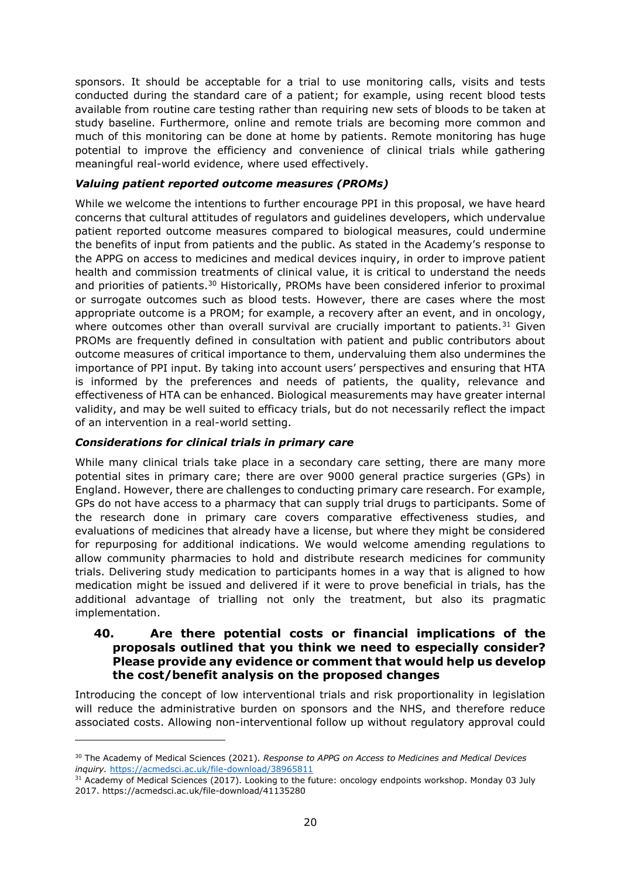sponsors. It should be acceptable for a trial to use monitoring calls, visits and tests conducted during the standard care of a patient; for example, using recent blood tests available from routine care testing rather than requiring new sets of bloods to be taken at study baseline. Furthermore, online and remote trials are becoming more common and much of this monitoring can be done at home by patients. Remote monitoring has huge potential to improve the efficiency and convenience of clinical trials while gathering meaningful real-world evidence, where used effectively.

#### *Valuing patient reported outcome measures (PROMs)*

While we welcome the intentions to further encourage PPI in this proposal, we have heard concerns that cultural attitudes of regulators and guidelines developers, which undervalue patient reported outcome measures compared to biological measures, could undermine the benefits of input from patients and the public. As stated in the Academy's response to the APPG on access to medicines and medical devices inquiry, in order to improve patient health and commission treatments of clinical value, it is critical to understand the needs and priorities of patients.<sup>30</sup> Historically, PROMs have been considered inferior to proximal or surrogate outcomes such as blood tests. However, there are cases where the most appropriate outcome is a PROM; for example, a recovery after an event, and in oncology, where outcomes other than overall survival are crucially important to patients.<sup>31</sup> Given PROMs are frequently defined in consultation with patient and public contributors about outcome measures of critical importance to them, undervaluing them also undermines the importance of PPI input. By taking into account users' perspectives and ensuring that HTA is informed by the preferences and needs of patients, the quality, relevance and effectiveness of HTA can be enhanced. Biological measurements may have greater internal validity, and may be well suited to efficacy trials, but do not necessarily reflect the impact of an intervention in a real-world setting.

#### *Considerations for clinical trials in primary care*

While many clinical trials take place in a secondary care setting, there are many more potential sites in primary care; there are over 9000 general practice surgeries (GPs) in England. However, there are challenges to conducting primary care research. For example, GPs do not have access to a pharmacy that can supply trial drugs to participants. Some of the research done in primary care covers comparative effectiveness studies, and evaluations of medicines that already have a license, but where they might be considered for repurposing for additional indications. We would welcome amending regulations to allow community pharmacies to hold and distribute research medicines for community trials. Delivering study medication to participants homes in a way that is aligned to how medication might be issued and delivered if it were to prove beneficial in trials, has the additional advantage of trialling not only the treatment, but also its pragmatic implementation.

#### **40. Are there potential costs or financial implications of the proposals outlined that you think we need to especially consider? Please provide any evidence or comment that would help us develop the cost/benefit analysis on the proposed changes**

Introducing the concept of low interventional trials and risk proportionality in legislation will reduce the administrative burden on sponsors and the NHS, and therefore reduce associated costs. Allowing non-interventional follow up without regulatory approval could

<sup>30</sup> The Academy of Medical Sciences (2021). *Response to APPG on Access to Medicines and Medical Devices inquiry.* <https://acmedsci.ac.uk/file-download/38965811>

<sup>&</sup>lt;sup>31</sup> Academy of Medical Sciences (2017). Looking to the future: oncology endpoints workshop. Monday 03 July 2017. https://acmedsci.ac.uk/file-download/41135280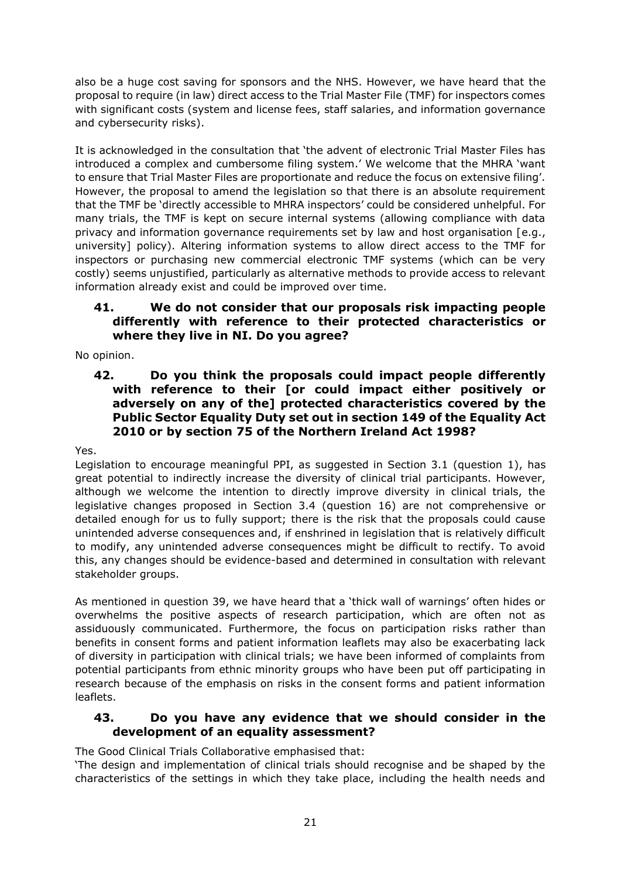also be a huge cost saving for sponsors and the NHS. However, we have heard that the proposal to require (in law) direct access to the Trial Master File (TMF) for inspectors comes with significant costs (system and license fees, staff salaries, and information governance and cybersecurity risks).

It is acknowledged in the consultation that 'the advent of electronic Trial Master Files has introduced a complex and cumbersome filing system.' We welcome that the MHRA 'want to ensure that Trial Master Files are proportionate and reduce the focus on extensive filing'. However, the proposal to amend the legislation so that there is an absolute requirement that the TMF be 'directly accessible to MHRA inspectors' could be considered unhelpful. For many trials, the TMF is kept on secure internal systems (allowing compliance with data privacy and information governance requirements set by law and host organisation [e.g., university] policy). Altering information systems to allow direct access to the TMF for inspectors or purchasing new commercial electronic TMF systems (which can be very costly) seems unjustified, particularly as alternative methods to provide access to relevant information already exist and could be improved over time.

### **41. We do not consider that our proposals risk impacting people differently with reference to their protected characteristics or where they live in NI. Do you agree?**

No opinion.

**42. Do you think the proposals could impact people differently with reference to their [or could impact either positively or adversely on any of the] protected characteristics covered by the Public Sector Equality Duty set out in section 149 of the Equality Act 2010 or by section 75 of the Northern Ireland Act 1998?** 

Yes.

Legislation to encourage meaningful PPI, as suggested in Section 3.1 (question [1\)](#page-0-0), has great potential to indirectly increase the diversity of clinical trial participants. However, although we welcome the intention to directly improve diversity in clinical trials, the legislative changes proposed in Section 3.4 (question [16\)](#page-7-0) are not comprehensive or detailed enough for us to fully support; there is the risk that the proposals could cause unintended adverse consequences and, if enshrined in legislation that is relatively difficult to modify, any unintended adverse consequences might be difficult to rectify. To avoid this, any changes should be evidence-based and determined in consultation with relevant stakeholder groups.

As mentioned in question [39,](#page-17-0) we have heard that a 'thick wall of warnings' often hides or overwhelms the positive aspects of research participation, which are often not as assiduously communicated. Furthermore, the focus on participation risks rather than benefits in consent forms and patient information leaflets may also be exacerbating lack of diversity in participation with clinical trials; we have been informed of complaints from potential participants from ethnic minority groups who have been put off participating in research because of the emphasis on risks in the consent forms and patient information leaflets.

### **43. Do you have any evidence that we should consider in the development of an equality assessment?**

The Good Clinical Trials Collaborative emphasised that:

'The design and implementation of clinical trials should recognise and be shaped by the characteristics of the settings in which they take place, including the health needs and